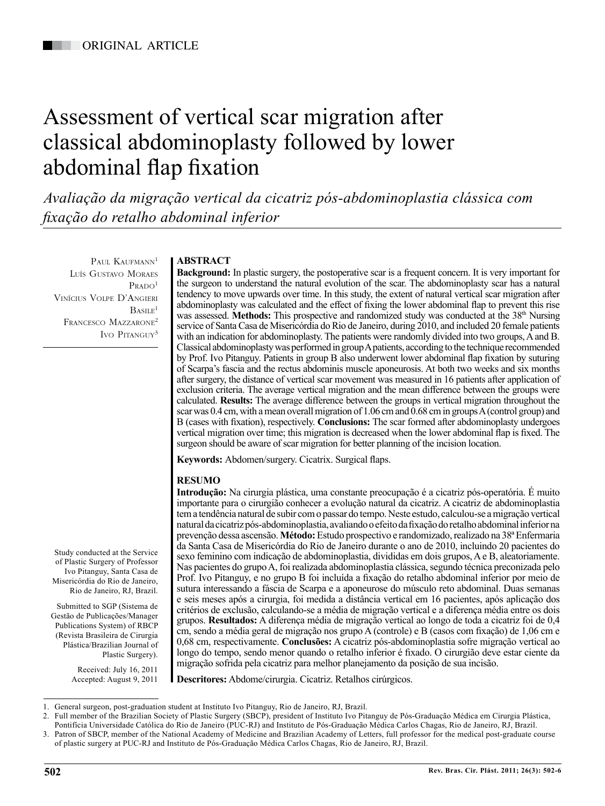# Assessment of vertical scar migration after classical abdominoplasty followed by lower abdominal flap fixation

*Avaliação da migração vertical da cicatriz pós-abdominoplastia clássica com fixação do retalho abdominal inferior*

PAUL KAUFMANN<sup>1</sup> Luís Gustavo Moraes  $P$ RADO<sup>1</sup> Vinícius Volpe D'Angieri  $B_{\text{AGIIF}}$ <sup>1</sup> FRANCESCO MAZZARONE<sup>2</sup> Ivo Pitanguy<sup>3</sup>

# **ABSTRACT**

**Background:** In plastic surgery, the postoperative scar is a frequent concern. It is very important for the surgeon to understand the natural evolution of the scar. The abdominoplasty scar has a natural tendency to move upwards over time. In this study, the extent of natural vertical scar migration after abdominoplasty was calculated and the effect of fixing the lower abdominal flap to prevent this rise was assessed. **Methods:** This prospective and randomized study was conducted at the 38<sup>th</sup> Nursing service of Santa Casa de Misericórdia do Rio de Janeiro, during 2010, and included 20 female patients with an indication for abdominoplasty. The patients were randomly divided into two groups, A and B. Classical abdominoplasty was performed in group A patients, according to the technique recommended by Prof. Ivo Pitanguy. Patients in group B also underwent lower abdominal flap fixation by suturing of Scarpa's fascia and the rectus abdominis muscle aponeurosis. At both two weeks and six months after surgery, the distance of vertical scar movement was measured in 16 patients after application of exclusion criteria. The average vertical migration and the mean difference between the groups were calculated. **Results:** The average difference between the groups in vertical migration throughout the scar was 0.4 cm, with a mean overall migration of 1.06 cm and 0.68 cm in groups A (control group) and B (cases with fixation), respectively. **Conclusions:** The scar formed after abdominoplasty undergoes vertical migration over time; this migration is decreased when the lower abdominal flap is fixed. The surgeon should be aware of scar migration for better planning of the incision location.

**Keywords:** Abdomen/surgery. Cicatrix. Surgical flaps.

# **RESUMO**

**Introdução:** Na cirurgia plástica, uma constante preocupação é a cicatriz pós-operatória. É muito importante para o cirurgião conhecer a evolução natural da cicatriz. A cicatriz de abdominoplastia tem a tendência natural de subir com o passar do tempo. Neste estudo, calculou-se a migração vertical natural da cicatriz pós-abdominoplastia, avaliando o efeito da fixação do retalho abdominal inferior na prevenção dessa ascensão. **Método:** Estudo prospectivo e randomizado, realizado na 38ª Enfermaria da Santa Casa de Misericórdia do Rio de Janeiro durante o ano de 2010, incluindo 20 pacientes do sexo feminino com indicação de abdominoplastia, divididas em dois grupos, A e B, aleatoriamente. Nas pacientes do grupo A, foi realizada abdominoplastia clássica, segundo técnica preconizada pelo Prof. Ivo Pitanguy, e no grupo B foi incluída a fixação do retalho abdominal inferior por meio de sutura interessando a fáscia de Scarpa e a aponeurose do músculo reto abdominal. Duas semanas e seis meses após a cirurgia, foi medida a distância vertical em 16 pacientes, após aplicação dos critérios de exclusão, calculando-se a média de migração vertical e a diferença média entre os dois grupos. **Resultados:** A diferença média de migração vertical ao longo de toda a cicatriz foi de 0,4 cm, sendo a média geral de migração nos grupo A (controle) e B (casos com fixação) de 1,06 cm e 0,68 cm, respectivamente. **Conclusões:** A cicatriz pós-abdominoplastia sofre migração vertical ao longo do tempo, sendo menor quando o retalho inferior é fixado. O cirurgião deve estar ciente da migração sofrida pela cicatriz para melhor planejamento da posição de sua incisão.

**Descritores:** Abdome/cirurgia. Cicatriz. Retalhos cirúrgicos.

Misericórdia do Rio de Janeiro, Rio de Janeiro, RJ, Brazil. Submitted to SGP (Sistema de

Study conducted at the Service of Plastic Surgery of Professor Ivo Pitanguy, Santa Casa de

Gestão de Publicações/Manager Publications System) of RBCP (Revista Brasileira de Cirurgia Plástica/Brazilian Journal of Plastic Surgery).

> Received: July 16, 2011 Accepted: August 9, 2011

<sup>1.</sup> General surgeon, post-graduation student at Instituto Ivo Pitanguy, Rio de Janeiro, RJ, Brazil.

<sup>2.</sup> Full member of the Brazilian Society of Plastic Surgery (SBCP), president of Instituto Ivo Pitanguy de Pós-Graduação Médica em Cirurgia Plástica, Pontifícia Universidade Católica do Rio de Janeiro (PUC-RJ) and Instituto de Pós-Graduação Médica Carlos Chagas, Rio de Janeiro, RJ, Brazil.

<sup>3.</sup> Patron of SBCP, member of the National Academy of Medicine and Brazilian Academy of Letters, full professor for the medical post-graduate course of plastic surgery at PUC-RJ and Instituto de Pós-Graduação Médica Carlos Chagas, Rio de Janeiro, RJ, Brazil.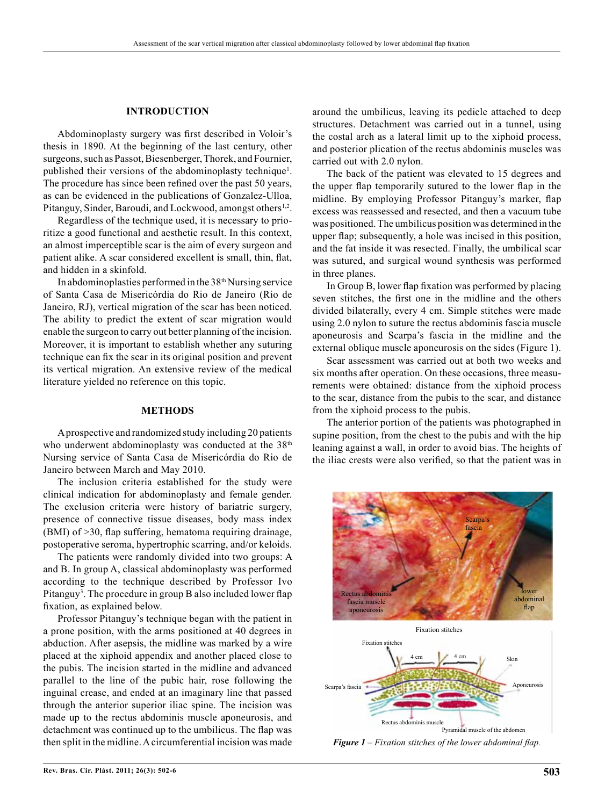# **INTRODUCTION**

Abdominoplasty surgery was first described in Voloir's thesis in 1890. At the beginning of the last century, other surgeons, such as Passot, Biesenberger, Thorek, and Fournier, published their versions of the abdominoplasty technique<sup>1</sup>. The procedure has since been refined over the past 50 years, as can be evidenced in the publications of Gonzalez-Ulloa, Pitanguy, Sinder, Baroudi, and Lockwood, amongst others<sup>1,2</sup>.

Regardless of the technique used, it is necessary to prioritize a good functional and aesthetic result. In this context, an almost imperceptible scar is the aim of every surgeon and patient alike. A scar considered excellent is small, thin, flat, and hidden in a skinfold.

In abdominoplasties performed in the 38th Nursing service of Santa Casa de Misericórdia do Rio de Janeiro (Rio de Janeiro, RJ), vertical migration of the scar has been noticed. The ability to predict the extent of scar migration would enable the surgeon to carry out better planning of the incision. Moreover, it is important to establish whether any suturing technique can fix the scar in its original position and prevent its vertical migration. An extensive review of the medical literature yielded no reference on this topic.

#### **METHODS**

A prospective and randomized study including 20 patients who underwent abdominoplasty was conducted at the 38<sup>th</sup> Nursing service of Santa Casa de Misericórdia do Rio de Janeiro between March and May 2010.

The inclusion criteria established for the study were clinical indication for abdominoplasty and female gender. The exclusion criteria were history of bariatric surgery, presence of connective tissue diseases, body mass index (BMI) of >30, flap suffering, hematoma requiring drainage, postoperative seroma, hypertrophic scarring, and/or keloids.

The patients were randomly divided into two groups: A and B. In group A, classical abdominoplasty was performed according to the technique described by Professor Ivo Pitanguy<sup>3</sup>. The procedure in group B also included lower flap fixation, as explained below.

Professor Pitanguy's technique began with the patient in a prone position, with the arms positioned at 40 degrees in abduction. After asepsis, the midline was marked by a wire placed at the xiphoid appendix and another placed close to the pubis. The incision started in the midline and advanced parallel to the line of the pubic hair, rose following the inguinal crease, and ended at an imaginary line that passed through the anterior superior iliac spine. The incision was made up to the rectus abdominis muscle aponeurosis, and detachment was continued up to the umbilicus. The flap was then split in the midline. A circumferential incision was made around the umbilicus, leaving its pedicle attached to deep structures. Detachment was carried out in a tunnel, using the costal arch as a lateral limit up to the xiphoid process, and posterior plication of the rectus abdominis muscles was carried out with 2.0 nylon.

The back of the patient was elevated to 15 degrees and the upper flap temporarily sutured to the lower flap in the midline. By employing Professor Pitanguy's marker, flap excess was reassessed and resected, and then a vacuum tube was positioned. The umbilicus position was determined in the upper flap; subsequently, a hole was incised in this position, and the fat inside it was resected. Finally, the umbilical scar was sutured, and surgical wound synthesis was performed in three planes.

In Group B, lower flap fixation was performed by placing seven stitches, the first one in the midline and the others divided bilaterally, every 4 cm. Simple stitches were made using 2.0 nylon to suture the rectus abdominis fascia muscle aponeurosis and Scarpa's fascia in the midline and the external oblique muscle aponeurosis on the sides (Figure 1).

Scar assessment was carried out at both two weeks and six months after operation. On these occasions, three measurements were obtained: distance from the xiphoid process to the scar, distance from the pubis to the scar, and distance from the xiphoid process to the pubis.

The anterior portion of the patients was photographed in supine position, from the chest to the pubis and with the hip leaning against a wall, in order to avoid bias. The heights of the iliac crests were also verified, so that the patient was in



*Figure 1 – Fixation stitches of the lower abdominal flap.*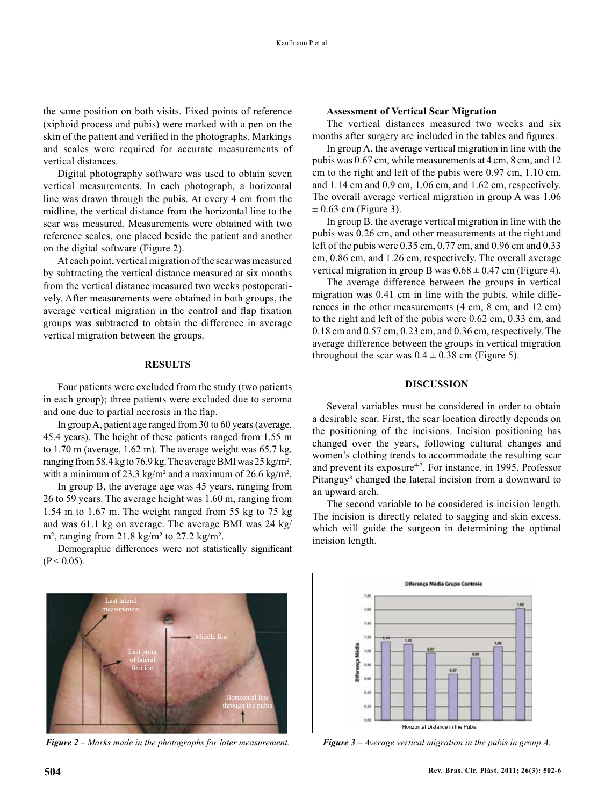the same position on both visits. Fixed points of reference (xiphoid process and pubis) were marked with a pen on the skin of the patient and verified in the photographs. Markings and scales were required for accurate measurements of vertical distances.

Digital photography software was used to obtain seven vertical measurements. In each photograph, a horizontal line was drawn through the pubis. At every 4 cm from the midline, the vertical distance from the horizontal line to the scar was measured. Measurements were obtained with two reference scales, one placed beside the patient and another on the digital software (Figure 2).

At each point, vertical migration of the scar was measured by subtracting the vertical distance measured at six months from the vertical distance measured two weeks postoperatively. After measurements were obtained in both groups, the average vertical migration in the control and flap fixation groups was subtracted to obtain the difference in average vertical migration between the groups.

### **RESULTS**

Four patients were excluded from the study (two patients in each group); three patients were excluded due to seroma and one due to partial necrosis in the flap.

In group A, patient age ranged from 30 to 60 years (average, 45.4 years). The height of these patients ranged from 1.55 m to 1.70 m (average, 1.62 m). The average weight was 65.7 kg, ranging from 58.4 kg to 76.9 kg. The average BMI was 25 kg/m², with a minimum of 23.3 kg/m² and a maximum of 26.6 kg/m².

In group B, the average age was 45 years, ranging from 26 to 59 years. The average height was 1.60 m, ranging from 1.54 m to 1.67 m. The weight ranged from 55 kg to 75 kg and was 61.1 kg on average. The average BMI was 24 kg/  $m<sup>2</sup>$ , ranging from 21.8 kg/m<sup>2</sup> to 27.2 kg/m<sup>2</sup>.

Demographic differences were not statistically significant  $(P < 0.05)$ .

#### **Assessment of Vertical Scar Migration**

The vertical distances measured two weeks and six months after surgery are included in the tables and figures.

In group A, the average vertical migration in line with the pubis was 0.67 cm, while measurements at 4 cm, 8 cm, and 12 cm to the right and left of the pubis were 0.97 cm, 1.10 cm, and 1.14 cm and 0.9 cm, 1.06 cm, and 1.62 cm, respectively. The overall average vertical migration in group A was 1.06  $\pm$  0.63 cm (Figure 3).

In group B, the average vertical migration in line with the pubis was 0.26 cm, and other measurements at the right and left of the pubis were 0.35 cm, 0.77 cm, and 0.96 cm and 0.33 cm, 0.86 cm, and 1.26 cm, respectively. The overall average vertical migration in group B was  $0.68 \pm 0.47$  cm (Figure 4).

The average difference between the groups in vertical migration was 0.41 cm in line with the pubis, while differences in the other measurements (4 cm, 8 cm, and 12 cm) to the right and left of the pubis were 0.62 cm, 0.33 cm, and 0.18 cm and 0.57 cm, 0.23 cm, and 0.36 cm, respectively. The average difference between the groups in vertical migration throughout the scar was  $0.4 \pm 0.38$  cm (Figure 5).

# **DISCUSSION**

Several variables must be considered in order to obtain a desirable scar. First, the scar location directly depends on the positioning of the incisions. Incision positioning has changed over the years, following cultural changes and women's clothing trends to accommodate the resulting scar and prevent its exposure<sup>4-7</sup>. For instance, in 1995, Professor Pitanguy<sup>8</sup> changed the lateral incision from a downward to an upward arch.

The second variable to be considered is incision length. The incision is directly related to sagging and skin excess, which will guide the surgeon in determining the optimal incision length.



*Figure 2 – Marks made in the photographs for later measurement. Figure 3 – Average vertical migration in the pubis in group A.*

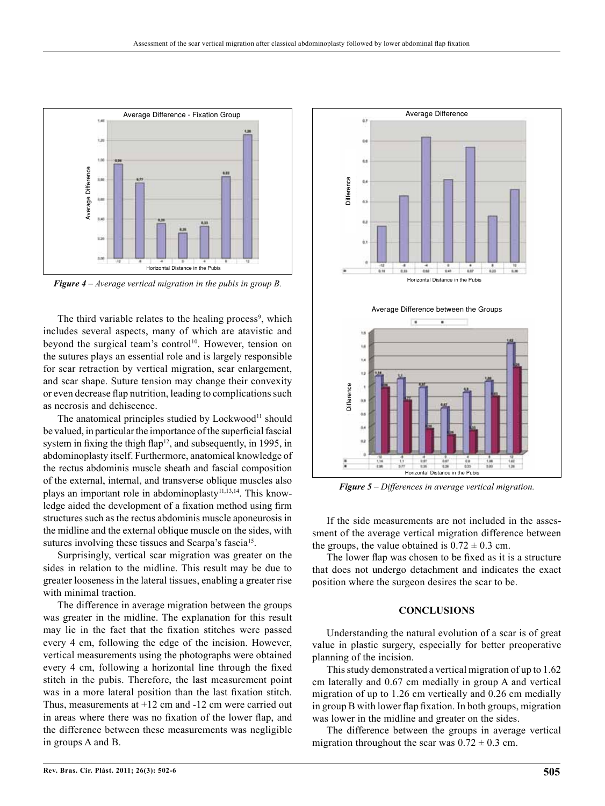

*Figure 4 – Average vertical migration in the pubis in group B.*

The third variable relates to the healing process<sup>9</sup>, which includes several aspects, many of which are atavistic and beyond the surgical team's control<sup>10</sup>. However, tension on the sutures plays an essential role and is largely responsible for scar retraction by vertical migration, scar enlargement, and scar shape. Suture tension may change their convexity or even decrease flap nutrition, leading to complications such as necrosis and dehiscence.

The anatomical principles studied by  $Lockwood<sup>11</sup>$  should be valued, in particular the importance of the superficial fascial system in fixing the thigh flap<sup>12</sup>, and subsequently, in 1995, in abdominoplasty itself. Furthermore, anatomical knowledge of the rectus abdominis muscle sheath and fascial composition of the external, internal, and transverse oblique muscles also plays an important role in abdominoplasty<sup>11,13,14</sup>. This knowledge aided the development of a fixation method using firm structures such as the rectus abdominis muscle aponeurosis in the midline and the external oblique muscle on the sides, with sutures involving these tissues and Scarpa's fascia<sup>15</sup>.

Surprisingly, vertical scar migration was greater on the sides in relation to the midline. This result may be due to greater looseness in the lateral tissues, enabling a greater rise with minimal traction.

The difference in average migration between the groups was greater in the midline. The explanation for this result may lie in the fact that the fixation stitches were passed every 4 cm, following the edge of the incision. However, vertical measurements using the photographs were obtained every 4 cm, following a horizontal line through the fixed stitch in the pubis. Therefore, the last measurement point was in a more lateral position than the last fixation stitch. Thus, measurements at +12 cm and -12 cm were carried out in areas where there was no fixation of the lower flap, and the difference between these measurements was negligible in groups A and B.



*Figure 5 – Differences in average vertical migration.*

If the side measurements are not included in the assessment of the average vertical migration difference between the groups, the value obtained is  $0.72 \pm 0.3$  cm.

The lower flap was chosen to be fixed as it is a structure that does not undergo detachment and indicates the exact position where the surgeon desires the scar to be.

## **CONCLUSIONS**

Understanding the natural evolution of a scar is of great value in plastic surgery, especially for better preoperative planning of the incision.

This study demonstrated a vertical migration of up to 1.62 cm laterally and 0.67 cm medially in group A and vertical migration of up to 1.26 cm vertically and 0.26 cm medially in group B with lower flap fixation. In both groups, migration was lower in the midline and greater on the sides.

The difference between the groups in average vertical migration throughout the scar was  $0.72 \pm 0.3$  cm.